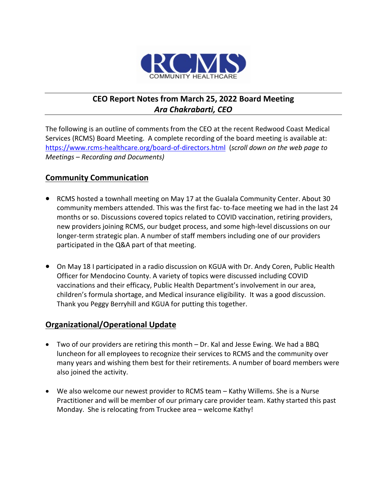

# **CEO Report Notes from March 25, 2022 Board Meeting** *Ara Chakrabarti, CEO*

The following is an outline of comments from the CEO at the recent Redwood Coast Medical Services (RCMS) Board Meeting. A complete recording of the board meeting is available at: <https://www.rcms-healthcare.org/board-of-directors.html>(*scroll down on the web page to Meetings – Recording and Documents)*

#### **Community Communication**

- RCMS hosted a townhall meeting on May 17 at the Gualala Community Center. About 30 community members attended. This was the first fac- to-face meeting we had in the last 24 months or so. Discussions covered topics related to COVID vaccination, retiring providers, new providers joining RCMS, our budget process, and some high-level discussions on our longer-term strategic plan. A number of staff members including one of our providers participated in the Q&A part of that meeting.
- On May 18 I participated in a radio discussion on KGUA with Dr. Andy Coren, Public Health Officer for Mendocino County. A variety of topics were discussed including COVID vaccinations and their efficacy, Public Health Department's involvement in our area, children's formula shortage, and Medical insurance eligibility. It was a good discussion. Thank you Peggy Berryhill and KGUA for putting this together.

#### **Organizational/Operational Update**

- Two of our providers are retiring this month Dr. Kal and Jesse Ewing. We had a BBQ luncheon for all employees to recognize their services to RCMS and the community over many years and wishing them best for their retirements. A number of board members were also joined the activity.
- We also welcome our newest provider to RCMS team Kathy Willems. She is a Nurse Practitioner and will be member of our primary care provider team. Kathy started this past Monday. She is relocating from Truckee area – welcome Kathy!